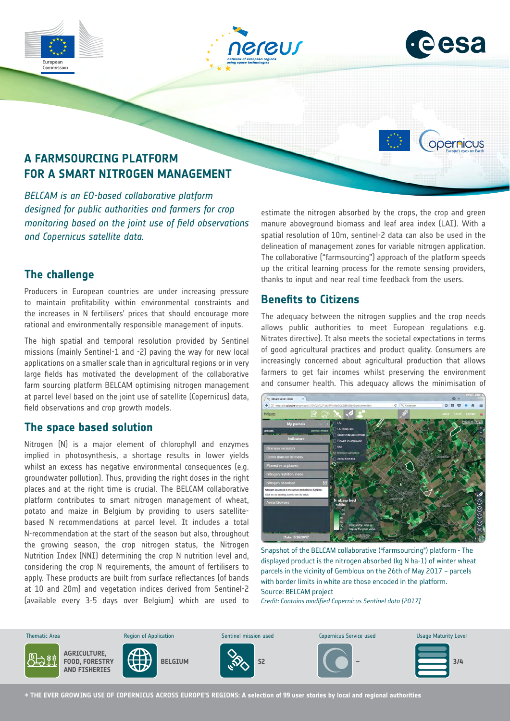





opernicus

## **A FARMSOURCING PLATFORM FOR A SMART NITROGEN MANAGEMENT**

*BELCAM is an EO-based collaborative platform designed for public authorities and farmers for crop monitoring based on the joint use of field observations and Copernicus satellite data.*

## **The challenge**

Producers in European countries are under increasing pressure to maintain profitability within environmental constraints and the increases in N fertilisers' prices that should encourage more rational and environmentally responsible management of inputs.

The high spatial and temporal resolution provided by Sentinel missions (mainly Sentinel-1 and -2) paving the way for new local applications on a smaller scale than in agricultural regions or in very large fields has motivated the development of the collaborative farm sourcing platform BELCAM optimising nitrogen management at parcel level based on the joint use of satellite (Copernicus) data, field observations and crop growth models.

## **The space based solution**

Nitrogen (N) is a major element of chlorophyll and enzymes implied in photosynthesis, a shortage results in lower yields whilst an excess has negative environmental consequences (e.g. groundwater pollution). Thus, providing the right doses in the right places and at the right time is crucial. The BELCAM collaborative platform contributes to smart nitrogen management of wheat, potato and maize in Belgium by providing to users satellitebased N recommendations at parcel level. It includes a total N-recommendation at the start of the season but also, throughout the growing season, the crop nitrogen status, the Nitrogen Nutrition Index (NNI) determining the crop N nutrition level and, considering the crop N requirements, the amount of fertilisers to apply. These products are built from surface reflectances (of bands at 10 and 20m) and vegetation indices derived from Sentinel-2 (available every 3-5 days over Belgium) which are used to estimate the nitrogen absorbed by the crops, the crop and green manure aboveground biomass and leaf area index (LAI). With a spatial resolution of 10m, sentinel-2 data can also be used in the delineation of management zones for variable nitrogen application. The collaborative ("farmsourcing") approach of the platform speeds up the critical learning process for the remote sensing providers, thanks to input and near real time feedback from the users.

## **Benefits to Citizens**

The adequacy between the nitrogen supplies and the crop needs allows public authorities to meet European regulations e.g. Nitrates directive). It also meets the societal expectations in terms of good agricultural practices and product quality. Consumers are increasingly concerned about agricultural production that allows farmers to get fair incomes whilst preserving the environment and consumer health. This adequacy allows the minimisation of



Snapshot of the BELCAM collaborative ("farmsourcing") platform - The displayed product is the nitrogen absorbed (kg N ha-1) of winter wheat parcels in the vicinity of Gembloux on the 26th of May 2017 – parcels with border limits in white are those encoded in the platform. Source: BELCAM project

*Credit: Contains modified Copernicus Sentinel data [2017]*



**→ THE EVER GROWING USE OF COPERNICUS ACROSS EUROPE'S REGIONS: A selection of 99 user stories by local and regional authorities**